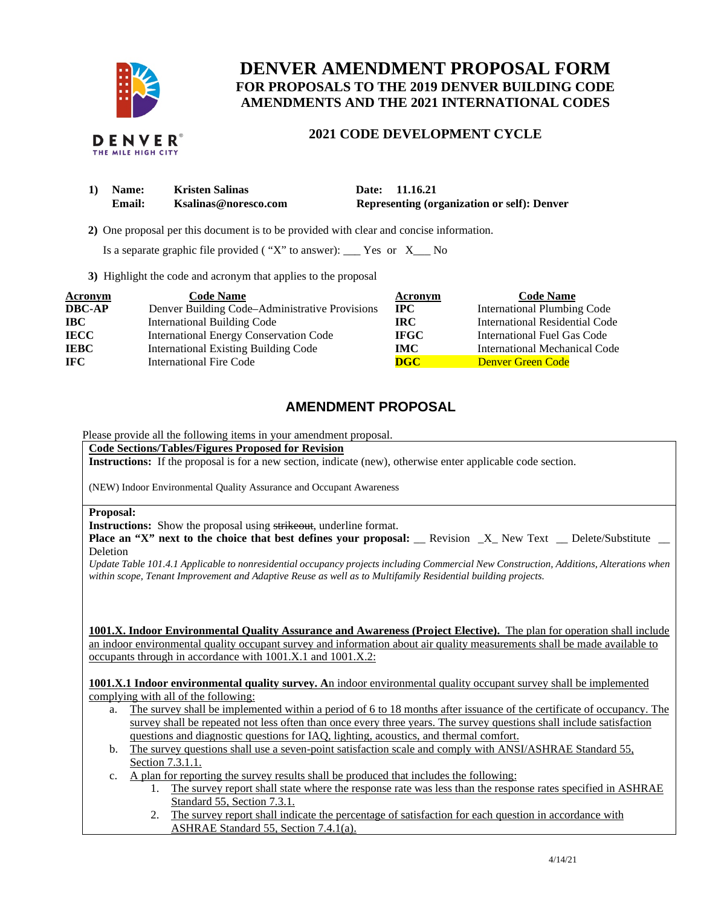

# **DENVER AMENDMENT PROPOSAL FORM FOR PROPOSALS TO THE 2019 DENVER BUILDING CODE AMENDMENTS AND THE 2021 INTERNATIONAL CODES**

## **2021 CODE DEVELOPMENT CYCLE**

| 1) Name:      | <b>Kristen Salinas</b> | Date: 11.16.21                                     |
|---------------|------------------------|----------------------------------------------------|
| <b>Email:</b> | Ksalinas@noresco.com   | <b>Representing (organization or self): Denver</b> |

 **2)** One proposal per this document is to be provided with clear and concise information.

Is a separate graphic file provided ( "X" to answer): \_\_\_ Yes or X\_\_\_ No

**3)** Highlight the code and acronym that applies to the proposal

| Acronym       | <b>Code Name</b>                               | Acronym                 | <b>Code Name</b>                   |
|---------------|------------------------------------------------|-------------------------|------------------------------------|
| <b>DBC-AP</b> | Denver Building Code-Administrative Provisions | $_{\rm IPC}$            | <b>International Plumbing Code</b> |
| <b>IBC</b>    | <b>International Building Code</b>             | <b>IRC</b>              | International Residential Code     |
| <b>IECC</b>   | <b>International Energy Conservation Code</b>  | <b>IFGC</b>             | International Fuel Gas Code        |
| <b>IEBC</b>   | <b>International Existing Building Code</b>    | <b>IMC</b>              | International Mechanical Code      |
| <b>IFC</b>    | <b>International Fire Code</b>                 | $\overline{\text{DGC}}$ | Denver Green Code                  |

## **AMENDMENT PROPOSAL**

Please provide all the following items in your amendment proposal.

**Code Sections/Tables/Figures Proposed for Revision** 

**Instructions:** If the proposal is for a new section, indicate (new), otherwise enter applicable code section.

(NEW) Indoor Environmental Quality Assurance and Occupant Awareness

#### **Proposal:**

**Instructions:** Show the proposal using strikeout, underline format.

**Place an "X" next to the choice that best defines your proposal:** \_\_ Revision \_X\_ New Text \_\_ Delete/Substitute \_ Deletion

*Update Table 101.4.1 Applicable to nonresidential occupancy projects including Commercial New Construction, Additions, Alterations when within scope, Tenant Improvement and Adaptive Reuse as well as to Multifamily Residential building projects.* 

**1001.X. Indoor Environmental Quality Assurance and Awareness (Project Elective).** The plan for operation shall include an indoor environmental quality occupant survey and information about air quality measurements shall be made available to occupants through in accordance with 1001.X.1 and 1001.X.2:

**1001.X.1 Indoor environmental quality survey. A**n indoor environmental quality occupant survey shall be implemented complying with all of the following:

- a. The survey shall be implemented within a period of 6 to 18 months after issuance of the certificate of occupancy. The survey shall be repeated not less often than once every three years. The survey questions shall include satisfaction questions and diagnostic questions for IAQ, lighting, acoustics, and thermal comfort.
- b. The survey questions shall use a seven-point satisfaction scale and comply with ANSI/ASHRAE Standard 55, Section 7.3.1.1.
- c. A plan for reporting the survey results shall be produced that includes the following:
	- 1. The survey report shall state where the response rate was less than the response rates specified in ASHRAE Standard 55, Section 7.3.1.
	- 2. The survey report shall indicate the percentage of satisfaction for each question in accordance with ASHRAE Standard 55, Section 7.4.1(a).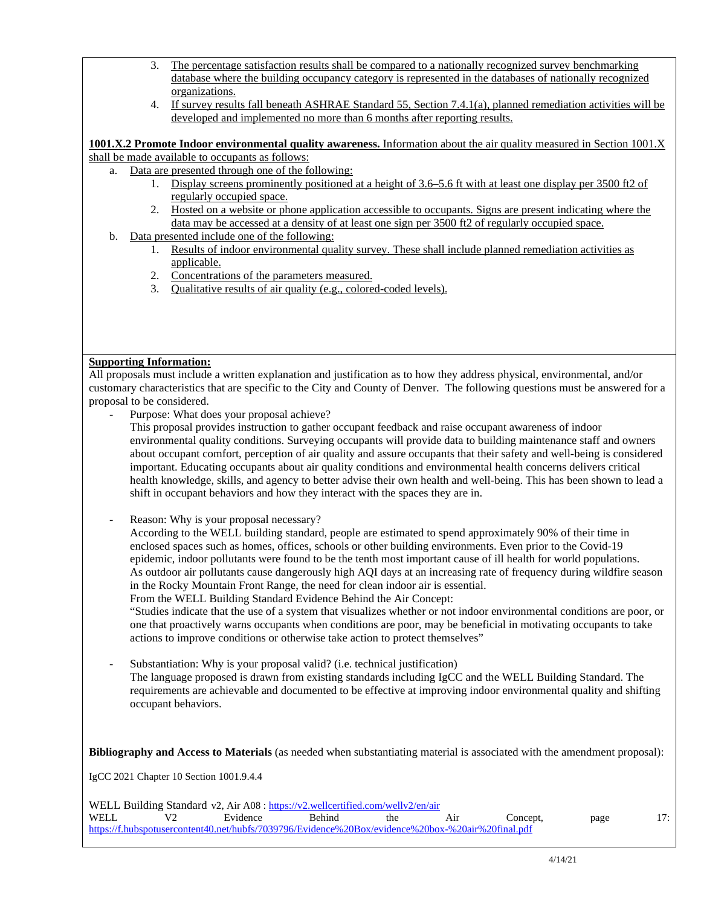- 3. The percentage satisfaction results shall be compared to a nationally recognized survey benchmarking database where the building occupancy category is represented in the databases of nationally recognized organizations.
- 4. If survey results fall beneath ASHRAE Standard 55, Section 7.4.1(a), planned remediation activities will be developed and implemented no more than 6 months after reporting results.

**1001.X.2 Promote Indoor environmental quality awareness.** Information about the air quality measured in Section 1001.X shall be made available to occupants as follows:

- a. Data are presented through one of the following:
	- 1. Display screens prominently positioned at a height of 3.6–5.6 ft with at least one display per 3500 ft2 of regularly occupied space.
	- 2. Hosted on a website or phone application accessible to occupants. Signs are present indicating where the data may be accessed at a density of at least one sign per 3500 ft2 of regularly occupied space.
- b. Data presented include one of the following:
	- 1. Results of indoor environmental quality survey. These shall include planned remediation activities as applicable.
	- 2. Concentrations of the parameters measured.
	- 3. Qualitative results of air quality (e.g., colored-coded levels).

#### **Supporting Information:**

All proposals must include a written explanation and justification as to how they address physical, environmental, and/or customary characteristics that are specific to the City and County of Denver. The following questions must be answered for a proposal to be considered.

Purpose: What does your proposal achieve?

This proposal provides instruction to gather occupant feedback and raise occupant awareness of indoor environmental quality conditions. Surveying occupants will provide data to building maintenance staff and owners about occupant comfort, perception of air quality and assure occupants that their safety and well-being is considered important. Educating occupants about air quality conditions and environmental health concerns delivers critical health knowledge, skills, and agency to better advise their own health and well-being. This has been shown to lead a shift in occupant behaviors and how they interact with the spaces they are in.

Reason: Why is your proposal necessary?

According to the WELL building standard, people are estimated to spend approximately 90% of their time in enclosed spaces such as homes, offices, schools or other building environments. Even prior to the Covid-19 epidemic, indoor pollutants were found to be the tenth most important cause of ill health for world populations. As outdoor air pollutants cause dangerously high AQI days at an increasing rate of frequency during wildfire season in the Rocky Mountain Front Range, the need for clean indoor air is essential.

From the WELL Building Standard Evidence Behind the Air Concept: "Studies indicate that the use of a system that visualizes whether or not indoor environmental conditions are poor, or

one that proactively warns occupants when conditions are poor, may be beneficial in motivating occupants to take actions to improve conditions or otherwise take action to protect themselves"

Substantiation: Why is your proposal valid? (i.e. technical justification) The language proposed is drawn from existing standards including IgCC and the WELL Building Standard. The requirements are achievable and documented to be effective at improving indoor environmental quality and shifting occupant behaviors.

**Bibliography and Access to Materials** (as needed when substantiating material is associated with the amendment proposal):

IgCC 2021 Chapter 10 Section 1001.9.4.4

| WELL Building Standard v2, Air A08 : https://v2.wellcertified.com/wellv2/en/air                   |  |          |               |     |     |          |      |     |
|---------------------------------------------------------------------------------------------------|--|----------|---------------|-----|-----|----------|------|-----|
| WELL                                                                                              |  | Evidence | <b>Behind</b> | the | Aır | Concept, | page | 17: |
| https://f.hubspotusercontent40.net/hubfs/7039796/Evidence%20Box/evidence%20box-%20air%20final.pdf |  |          |               |     |     |          |      |     |